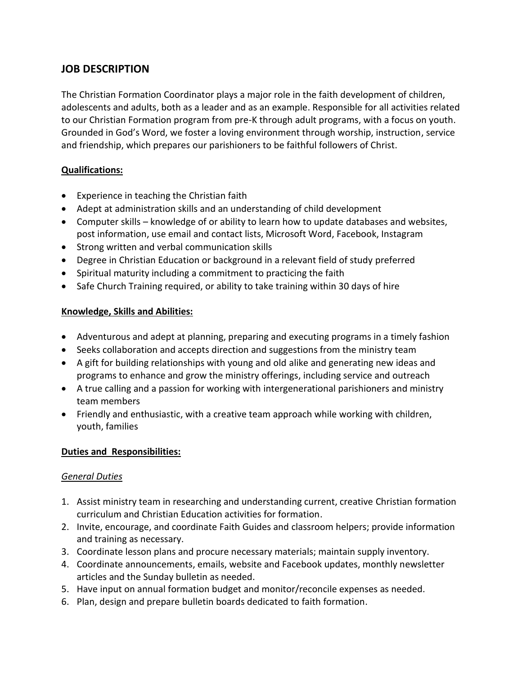# **JOB DESCRIPTION**

The Christian Formation Coordinator plays a major role in the faith development of children, adolescents and adults, both as a leader and as an example. Responsible for all activities related to our Christian Formation program from pre-K through adult programs, with a focus on youth. Grounded in God's Word, we foster a loving environment through worship, instruction, service and friendship, which prepares our parishioners to be faithful followers of Christ.

### **Qualifications:**

- Experience in teaching the Christian faith
- Adept at administration skills and an understanding of child development
- Computer skills knowledge of or ability to learn how to update databases and websites, post information, use email and contact lists, Microsoft Word, Facebook, Instagram
- Strong written and verbal communication skills
- Degree in Christian Education or background in a relevant field of study preferred
- Spiritual maturity including a commitment to practicing the faith
- Safe Church Training required, or ability to take training within 30 days of hire

### **Knowledge, Skills and Abilities:**

- Adventurous and adept at planning, preparing and executing programs in a timely fashion
- Seeks collaboration and accepts direction and suggestions from the ministry team
- A gift for building relationships with young and old alike and generating new ideas and programs to enhance and grow the ministry offerings, including service and outreach
- A true calling and a passion for working with intergenerational parishioners and ministry team members
- Friendly and enthusiastic, with a creative team approach while working with children, youth, families

### **Duties and Responsibilities:**

### *General Duties*

- 1. Assist ministry team in researching and understanding current, creative Christian formation curriculum and Christian Education activities for formation.
- 2. Invite, encourage, and coordinate Faith Guides and classroom helpers; provide information and training as necessary.
- 3. Coordinate lesson plans and procure necessary materials; maintain supply inventory.
- 4. Coordinate announcements, emails, website and Facebook updates, monthly newsletter articles and the Sunday bulletin as needed.
- 5. Have input on annual formation budget and monitor/reconcile expenses as needed.
- 6. Plan, design and prepare bulletin boards dedicated to faith formation.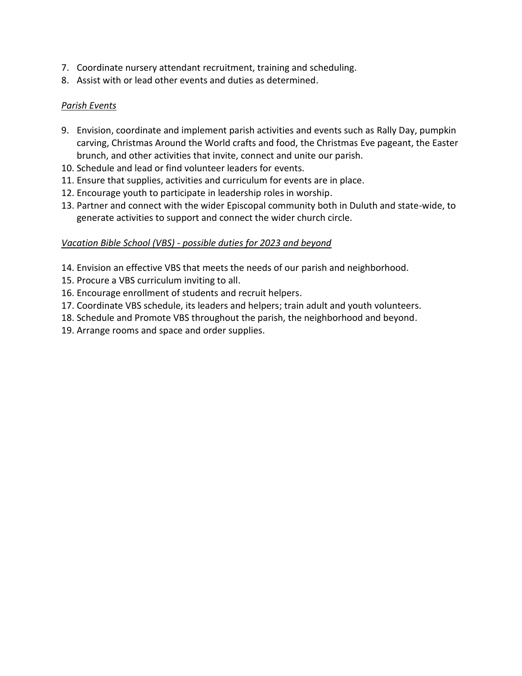- 7. Coordinate nursery attendant recruitment, training and scheduling.
- 8. Assist with or lead other events and duties as determined.

### *Parish Events*

- 9. Envision, coordinate and implement parish activities and events such as Rally Day, pumpkin carving, Christmas Around the World crafts and food, the Christmas Eve pageant, the Easter brunch, and other activities that invite, connect and unite our parish.
- 10. Schedule and lead or find volunteer leaders for events.
- 11. Ensure that supplies, activities and curriculum for events are in place.
- 12. Encourage youth to participate in leadership roles in worship.
- 13. Partner and connect with the wider Episcopal community both in Duluth and state-wide, to generate activities to support and connect the wider church circle.

### *Vacation Bible School (VBS) - possible duties for 2023 and beyond*

- 14. Envision an effective VBS that meets the needs of our parish and neighborhood.
- 15. Procure a VBS curriculum inviting to all.
- 16. Encourage enrollment of students and recruit helpers.
- 17. Coordinate VBS schedule, its leaders and helpers; train adult and youth volunteers.
- 18. Schedule and Promote VBS throughout the parish, the neighborhood and beyond.
- 19. Arrange rooms and space and order supplies.